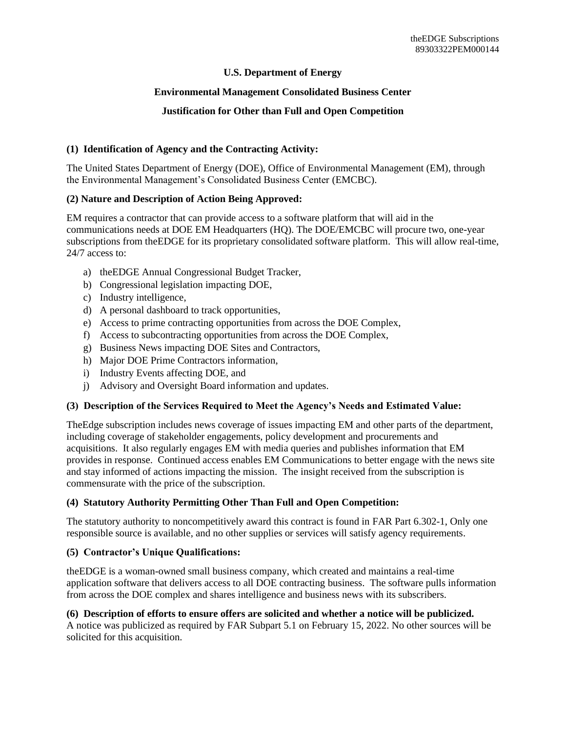## **U.S. Department of Energy**

# **Environmental Management Consolidated Business Center**

## **Justification for Other than Full and Open Competition**

## **(1) Identification of Agency and the Contracting Activity:**

The United States Department of Energy (DOE), Office of Environmental Management (EM), through the Environmental Management's Consolidated Business Center (EMCBC).

# **(2) Nature and Description of Action Being Approved:**

EM requires a contractor that can provide access to a software platform that will aid in the communications needs at DOE EM Headquarters (HQ). The DOE/EMCBC will procure two, one-year subscriptions from theEDGE for its proprietary consolidated software platform. This will allow real-time, 24/7 access to:

- a) theEDGE Annual Congressional Budget Tracker,
- b) Congressional legislation impacting DOE,
- c) Industry intelligence,
- d) A personal dashboard to track opportunities,
- e) Access to prime contracting opportunities from across the DOE Complex,
- f) Access to subcontracting opportunities from across the DOE Complex,
- g) Business News impacting DOE Sites and Contractors,
- h) Major DOE Prime Contractors information,
- i) Industry Events affecting DOE, and
- j) Advisory and Oversight Board information and updates.

#### **(3) Description of the Services Required to Meet the Agency's Needs and Estimated Value:**

TheEdge subscription includes news coverage of issues impacting EM and other parts of the department, including coverage of stakeholder engagements, policy development and procurements and acquisitions. It also regularly engages EM with media queries and publishes information that EM provides in response. Continued access enables EM Communications to better engage with the news site and stay informed of actions impacting the mission. The insight received from the subscription is commensurate with the price of the subscription.

## **(4) Statutory Authority Permitting Other Than Full and Open Competition:**

The statutory authority to noncompetitively award this contract is found in FAR Part 6.302-1, Only one responsible source is available, and no other supplies or services will satisfy agency requirements.

#### **(5) Contractor's Unique Qualifications:**

theEDGE is a woman-owned small business company, which created and maintains a real-time application software that delivers access to all DOE contracting business. The software pulls information from across the DOE complex and shares intelligence and business news with its subscribers.

#### **(6) Description of efforts to ensure offers are solicited and whether a notice will be publicized.**

A notice was publicized as required by FAR Subpart 5.1 on February 15, 2022. No other sources will be solicited for this acquisition.